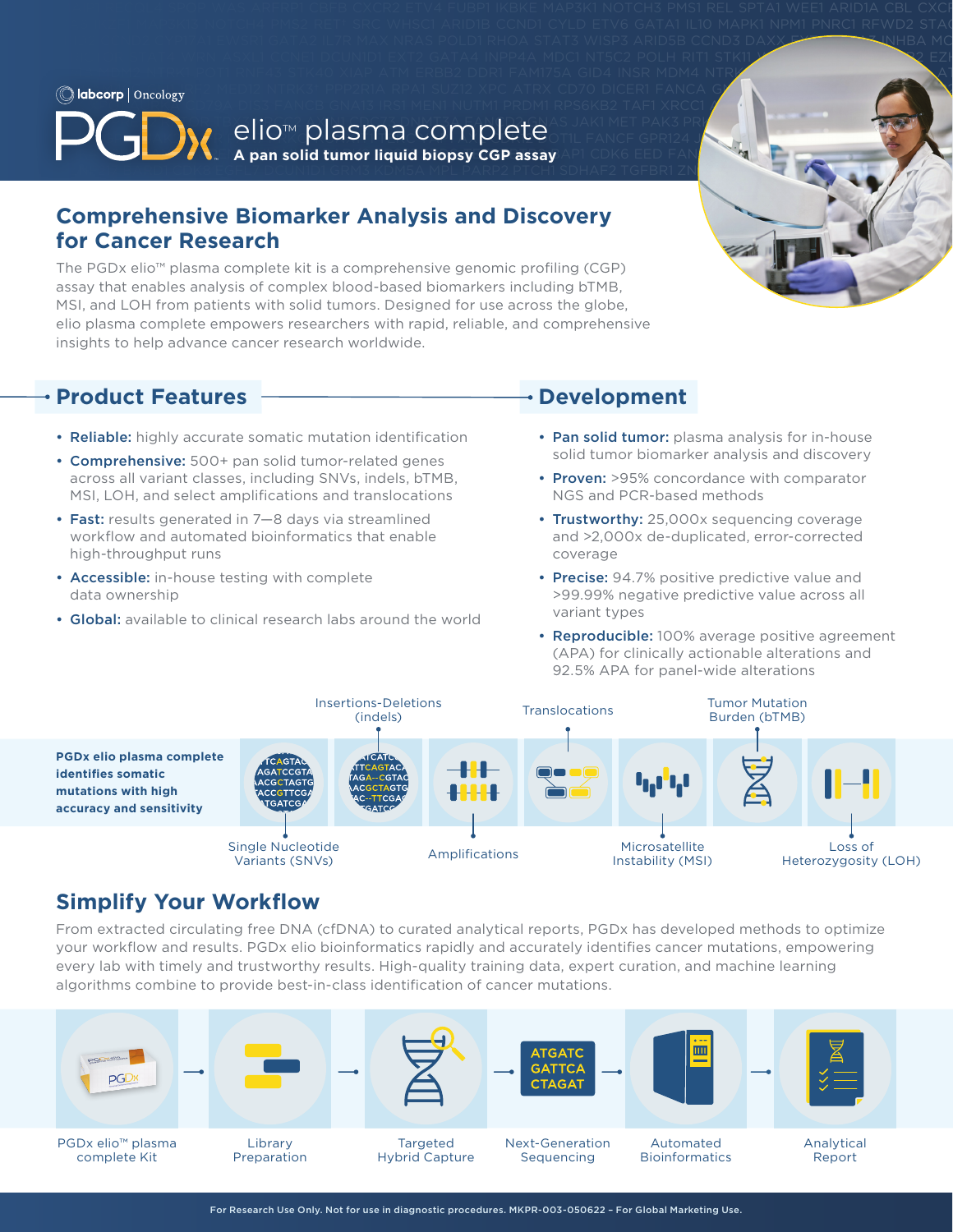IRS2 MERTK PAKIS PAKIS PAKIS PAKIS PAKIS PAKIS PRIMA FANCODA DI SERIKA FANCH DI SERIKA RUNXI TEK YANG DI SERIKA RUNXI DI SERIKA PRIMA PAKAR PAKAR PAKAR PAKAR PAKAR PAKAR PAKAR PAKAR PAKAR PAKAR PAKAR PAKAR PAKAR PAKAR PAKA **EGFR DNMT** eliotm plasma complete TERRIS PRK3 PRK NELLES PREDICTION OF TERRIS PREDICTION OF TERRIS PREDICTION OF TERRIS PREDICTION OF TERRIS PREDICTION OF TERRIS PREDICTION OF TERRIS PREDICTION OF TERRIS PREDICTION OF TER **A pan solid tumor liquid biopsy CGP assay** AP1 CDK6 EED FAN**CI GRINAA KATEGORY COR** 

WHISCILI ARID2 CYP17A1 EWSR1 GATA2 IL7R MAX NRAS POLD1 RHOA STAT3 WISP3 ARID5B CCND3 DAXX EXTINGA MCCL1 GATA3 INHBA MC NSD1 POLE STAT4 WRN ASXL1 CCNE1 DCUN1D1 EXT2 GATA4 INPP4A MDC1 NT5C2 POLH RIT1 STK11 WTH2 ASSESSMENT OF REAL P GATA6 INPP4B MDM2 NTRK1 POT1 RNF43 STK40 XIAP ATM ERBB2 DDR1 FAM175A GID4 INSR MDM4 NTRK2† PPARG ROSI SUFU XPA

SDHA TET2 ZNF217 BARDI CDK8 EGFL7 DCUNID1 GRM3 KDM5A MPL PARP2 PTCH1 SDHAF2 TGFBR1 ZNF703 ARID 3 ARID 58 ARID 5  $\mathcal{L}$  paraps purely algebra being the subset of the subset of the subset of the subset of the subset of the subset of the subset of the subset of the subset of the subset of the subset of the subset of the subset of th

# Father MSH3 particles in the solution of the set of the set of the set of the set of the set of the set of the set of the set of the set of the set of the set of the set of the set of the set of the set of the set of the **Comprehensive Biomarker Analysis and Discovery and Laterate Political Political Political Political Political Political Political Political Political Political Political Political Political Political Political Political P for Cancer Research for Cancer Research** PDGFRB CHINDER INCODENTIES BCR CHOICH CHART FGF23 HISTORICAL SLITIHISTIC THEORY CHART FOR DEVELOPMENT OF THE CH

The PGDx elio™ plasma complete kit is a comprehensive genomic profiling (CGP) and the PGDx elio™ plasma complete kit is a comprehensive genomic profiling (CGP) assay that enables analysis of complex blood-based biomarkers including bTMB, MSI, and LOH from patients with solid tumors. Designed for use across the globe, elio plasma complete empowers researchers with rapid, reliable, and comprehensive SMARCH TRAFFIC SMARCD TRAFFIC STRAFF AND TRAFFIC LOCAL TRAFFICIAL STRAFFIC SMOOTH COMPLEMENTS OF THE COMPLEMENTS OF THE CORPORATION OF THE CORPORATION OF THE CORPORATION OF THE CHARGE STRAFFIC STRAFFIC STRAFFIC STRAFFIC ST insights to help advance cancer research worldwide.

#### C11ORF30 CTNNA1 ERG FOXA1 IGF1 MAML1 NKX2-1 PIM1 RASA1 SOX2 VEGFA APC CALR CTNNB1 ERRFI1 FOXL2 IGF1R MAP2K1 NKX3-1 PLCG2 **Example 12 Expanding Cardinal Expanding Cardinal Component** Pevelopment **Product Features**

- Reliable: highly accurate somatic mutation identification Pan solid tumor: plasma analysis for in-house
- Comprehensive: 500+ pan solid tumor-related genes solid tumor bolid tumor biolitativer analysis and discovery across all variant classes, including SNVs, indels, bTMB, **Proven:** >95% concordance with comparator MSI, LOH, and select amplifications and translocations NGS and PCR-based methods **MES**
- Fast: results generated in 7–8 days via streamlined Trustworthy: 25,000x sequencing coverage INSTRESS SERVERTED AND TRESS PARTICULAR PRESSURE TO A THE SERVERTH PARTICIPATION CONSEQUENTING CONDITIONS ON A FANCH RUNANIS CONSEQUENTING CONDITIONS ON A RUNANIS CONSEQUENTING CONDITIONS ON A RUNANIS CONSEQUENTING CONDITI WORNING GROUND GERCY DISTINGUISHED CONFIDENCE GROUND AND THE CONFIDENCE GROUND AND THE CONFIDENCE OF A CONFIDENCE OF A CONFIDENCE OF A CONFIDENCE OF A CONFIDENCIAL CONFIDENCE OF A CONFIDENCE OF A CONFIDENCE OF A CONFIDENCE YEST B2M CONFIDENTIAL TURBAL BARK E2F3 FANCIS SERVERS TETTI DE L'OVERSI SBDS TETN MARIN MARIN MARIN MARIN BARK<br>Externa anche di server della confidentiale di server della confidentiale di server della confidentiale di ser high-throughput runs
	- Accessible: in-house testing with complete data ownership
- Global: available to clinical research labs around the world variant types COLORIZATION FOR CHILD FOR A FORD STOUTIGE WORLD

- WHERE INSIDE CONDUCT CONDUCT CONDUCT CONDUCT INTERNATIONAL TRANSFORM CONDITIONS POLICIES ARE IN THE CONDITIONS ON A COMPRESS AND DISCOVERY SOLID THE CONDITIONS ON A COMPRESS AND DISCOVERY SOLID THE CONDITIONS ON A CONDITIO • Pan solid tumor: plasma analysis for in-house
	- Proven: >95% concordance with comparator NGS and PCR-based methods
	- Trustworthy: 25,000x sequencing coverage and >2,000x de-duplicated, error-corrected coverage
- Accessible: in-house testing with complete **being a supply to the Precise:** 94.7% positive predictive value and KDM5C MRE11A PARP3 PTEN SDHB TGFBR2 BCL2 CDKN1B EIF1AX FAS H3F3A KDM6A MSH2 PAX5 PTK2 SDHC TIPARP BCL2L1 CDKN1C EP300 >99.99% negative predictive value across all variant types
- **Reproducible:** 100% average positive agreement (APA) for clinically actionable alterations and 92.5% APA for panel-wide alterations



# **Simplify Your Workflow**

From extracted circulating free DNA (cfDNA) to curated analytical reports, PGDx has developed methods to optimize your workflow and results. PGDx elio bioinformatics rapidly and accurately identifies cancer mutations, empowering every lab with timely and trustworthy results. High-quality training data, expert curation, and machine learning algorithms combine to provide best-in-class identification of cancer mutations.

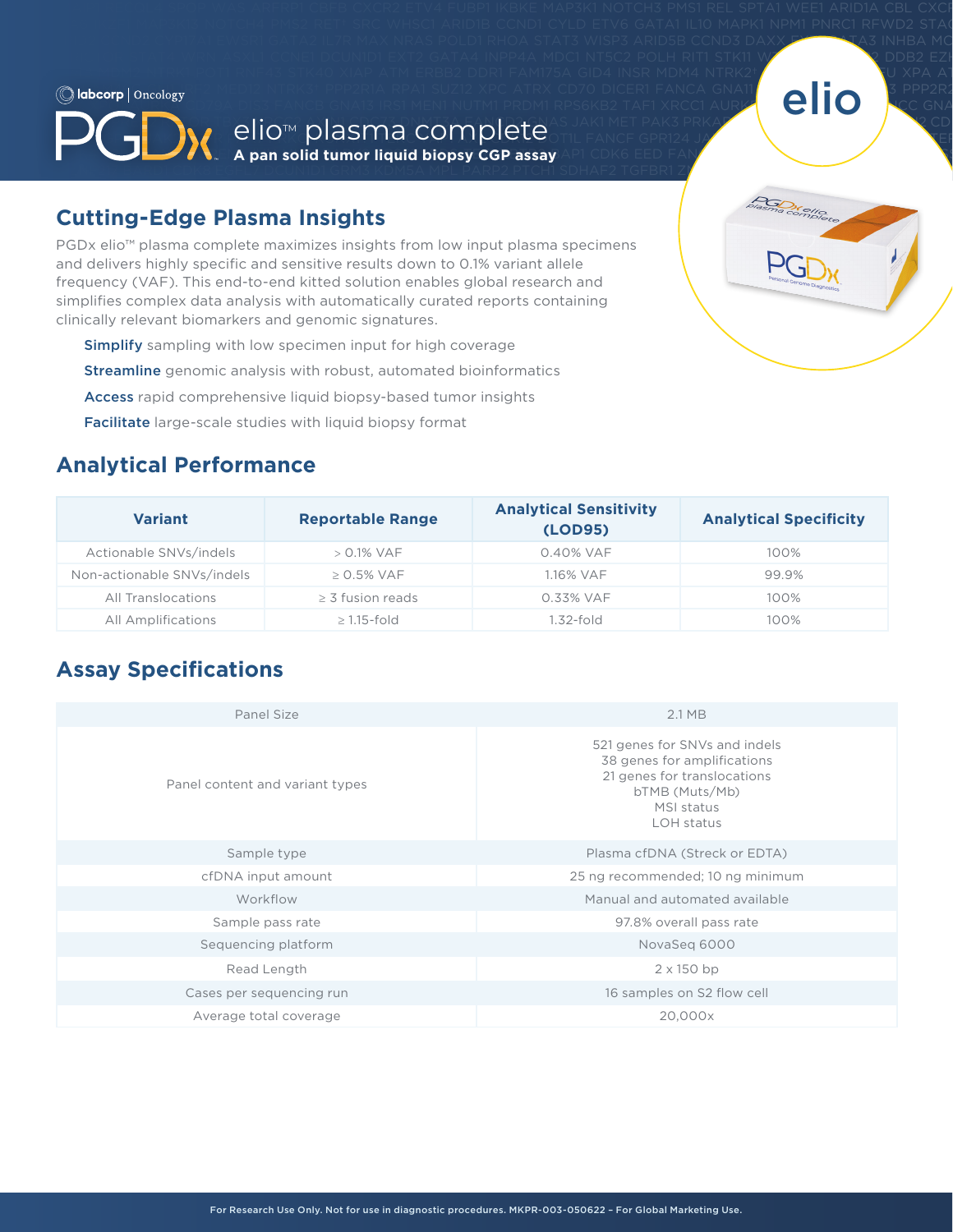### RPS6KB2 TAF1 XRCC1 AURKA CD79A DIS3 FANCB GNA13 IRS1 MEN1 NUTM1 PRDM1 RPS6KB2 TAF1 XRCC1 AURKB CONA IRS2 MERTK PAKIN PAKING PAKING PAKING PAKANG AKANG PAKANG PAKANG PAKANG PAKARI PAKARI PAKARI PAKARI PAKARI PAKAR **DNMT3B FANCE GERRE PARTICIPALITIE AND THE CONTINUES OF THE FANCE GPR124 JAK3 MKNK1 PALBAX MKNK1 PALBAX PRIZ PR A pan solid tumor liquid biopsy CGP assay** AP1 CDK6 EED FAN<mark>CI GRINAA KAT6 PARP1 PRSS8 PARP1 PRSS8 PAR</mark>P1 PRSS8 PAR  $\mathbb{R}^n$  . Some that the teacher of the second of GRM3 KDM5A MPL PARP2 PTCH1 SDHAF2 TGFBR1 Z $T$ elio $M$  plasma complete



# $F_{\text{max}}$   $\frac{1}{\sqrt{2\pi}}$   $\frac{1}{\sqrt{2\pi}}$   $\frac{1}{\sqrt{2\pi}}$   $\frac{1}{\sqrt{2\pi}}$   $\frac{1}{\sqrt{2\pi}}$   $\frac{1}{\sqrt{2\pi}}$   $\frac{1}{\sqrt{2\pi}}$   $\frac{1}{\sqrt{2\pi}}$   $\frac{1}{\sqrt{2\pi}}$   $\frac{1}{\sqrt{2\pi}}$   $\frac{1}{\sqrt{2\pi}}$   $\frac{1}{\sqrt{2\pi}}$   $\frac{1}{\sqrt{2\pi}}$   $\frac{1}{\sqrt{2\pi}}$  **Cutting-Edge Plasma Insights Cutting-Edge Plasma Insights**

 $T$ COR CEBPA EPHA $T$ Gramma ephandeko respubliko kontrola tradicional de minizar bol ephas ephans ephans shariba fgra kl PGDx elio™ plasma complete maximizes insights from low input plasma specimens<br>
DCT 2 MYB FGF3 HIST and delivers highly specific and sensitive results down to 0.1% variant allele  $\begin{pmatrix} 1 & 1 \ 1 & 1 \end{pmatrix} \begin{pmatrix} 1 & 1 \ 1 & 1 \end{pmatrix}$ frequency (VAF). This end-to-end kitted solution enables global research and the solution enables examine the state of the state of the state of the state of the state of the state of the state of the state of the state of simplifies complex data analysis with automatically curated reports containing  $\sqrt{1-\frac{1}{2(1-\epsilon_0)^2}}$ clinically relevant biomarkers and genomic signatures. The state of the state of the state of the state of the state of the state of the state of the state of the state of the state of the state of the state of the state o

- SMARCD1 TRAF7 AKT1 BRIP1 CSF2 ERCC3 FH ICOSLG LTK NCOR1 PIK3CD RAD54B SMO TSC1 AKT2 BTG1 CSF3 ERCC4 FLCN ID3 LYN NF1 Simplify sampling with low specimen input for high coverage **Simplify Social Social Activity**
- **Streamline** genomic analysis with robust, automated bioinformatics **Streamline** genomic analysis with robust, automated bioinformatics COMMINIS JORFAINS ERG FOR AN ERG FOR AN IGENERAL SOMETIME ARRANGEMENT OF THE START MAP ARRANGEMENT OF THE START MAP ARRANGEMENT OF THE START MAP ARRANGEMENT OF THE START MAP ARRANGEMENT OF THE START MAP ARRANGEMENT OF THE
- **Access** rapid comprehensive liquid biopsy-based tumor insights
- Facilitate large-scale studies with liquid biopsy format<br>
Facilitate large-scale studies with liquid biopsy format **Facilitate** large Searc Stagies which inquid biopsy format

# **Analytical Performance** and the state of the state of the state of the state of the state of the state of the state of the state of the state of the state of the state of the state of the state of the state of the state o GATA6 INPP4B MDM2 NTRK1 POT1 RNF43 STK40 XIAP ATM CD274 DDR1 FAM175A GID4 INSR MDM4 NTRK2† PPARG ROS1 SUFU XPA ATR

| <b>Variant</b>             | <b>Reportable Range</b> | <b>Analytical Sensitivity</b><br>(LOD95) | <b>Analytical Specificity</b> |  |  |
|----------------------------|-------------------------|------------------------------------------|-------------------------------|--|--|
| Actionable SNVs/indels     | $> 0.1\%$ VAF           | 0.40% VAF                                | 100%                          |  |  |
| Non-actionable SNVs/indels | $> 0.5\%$ VAF           | 1.16% VAF                                | 99.9%                         |  |  |
| All Translocations         | $\geq$ 3 fusion reads   | 0.33% VAF                                | 100%                          |  |  |
| All Amplifications         | $\geq$ 1.15-fold        | 1.32-fold                                | 100%                          |  |  |

WHISCIL1 ARION2 CYP17A1 EWSR1 GATA2 IL7R MAX NRAS POLD1 RHOA STAT3 WISP3 ARID5B CCND3 DAXX EXTIN GATA3 INHBA MC NSD1 POLE STAT4 WRN ASXL1 CCNE1 DCUN1D1 EXT2 GATA4 INPP4A MDC1 NT5C2 POLH RIT1 STK11 W<mark>T</mark>2 DDB2 EZH

 $K$  matrix  $\mathcal{F}$  parallel computed by the interval subset of the interval  $\mathcal{F}$ 

# $\rho$ <sub>d</sub>  $\rho$ <sub>g</sub>  $\rho$ <sub>g</sub>  $\rho$ <sub>g</sub>  $\rho$ <sub>g</sub>  $\alpha$ <sub>i</sub>  $\beta$  d<sub>k</sub> a d<sub>i</sub>  $\rho$ <sub>g</sub>  $\rho$ <sub>g</sub>  $\rho$ <sub>g</sub>  $\rho$ <sub>g</sub>  $\rho$ <sub>g</sub>  $\rho$ <sub>g</sub>  $\rho$ <sub>g</sub>  $\rho$ <sub>g</sub>  $\rho$ <sub>g</sub>  $\rho$ <sub>g</sub>  $\rho$ <sub>g</sub>  $\rho$ <sub>g</sub>  $\rho$ <sub>g</sub>  $\rho$ <sub>g</sub>  $\rho$ <sub>g</sub>  $\rho$ <sub>g</sub>  $\rho$ <sub>g</sub>  $\rho$ <sub>g</sub>  $\rho$ <sub>g</sub>  $\rho$ **Assay Specifications** and the extendion of the extendion of the extendion of the extendion of the extendion of the extendion of the extendion of the extendion of the extendion of the extendion of the extendion of the exte

| Panel Size                      | 2.1 MB                                                                                                                                    |  |  |  |  |  |
|---------------------------------|-------------------------------------------------------------------------------------------------------------------------------------------|--|--|--|--|--|
| Panel content and variant types | 521 genes for SNVs and indels<br>38 genes for amplifications<br>21 genes for translocations<br>bTMB (Muts/Mb)<br>MSI status<br>LOH status |  |  |  |  |  |
| Sample type                     | Plasma cfDNA (Streck or EDTA)                                                                                                             |  |  |  |  |  |
| cfDNA input amount              | 25 ng recommended; 10 ng minimum                                                                                                          |  |  |  |  |  |
| Workflow                        | Manual and automated available                                                                                                            |  |  |  |  |  |
| Sample pass rate                | 97.8% overall pass rate                                                                                                                   |  |  |  |  |  |
| Sequencing platform             | NovaSeg 6000                                                                                                                              |  |  |  |  |  |
| Read Length                     | $2 \times 150$ bp                                                                                                                         |  |  |  |  |  |
| Cases per sequencing run        | 16 samples on S2 flow cell                                                                                                                |  |  |  |  |  |
| Average total coverage          | 20,000x                                                                                                                                   |  |  |  |  |  |